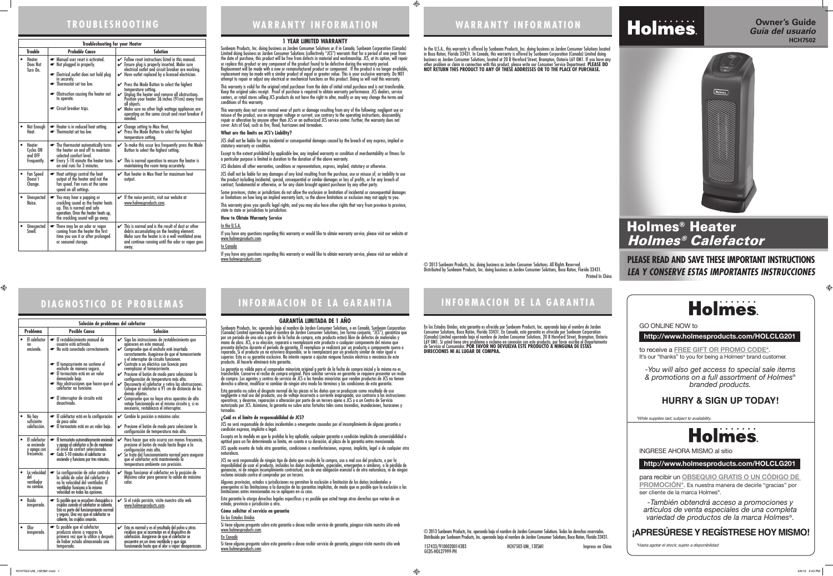## **TROUBLESHOOTING**

# **DIAGNOSTICO DE PROBLEMAS**

© 2013 Sunbeam Products, Inc. operando bajo el nombre de Jarden Consumer Solutions. Todos los derechos reservados.<br>Distribuido por Sunbeam Products, Inc. operando bajo el nombre de Jarden Consumer Solutions, Boca Raton, Fl 157433/9100020014383 HCH7502-UM\_13ESM1 Impreso en China GCDS-HOL27999-PH

 $\bf \bigcirc$ 

Sunbeam Products, Inc. doing business as Jarden Consumer Solutions or if in Canada, Sunbeam Corporation (Canada) Limited doing business as Jarden Consumer Solutions (collectively "JCS") warrants that for a period of one year from the date of purchase, this product will be free from defects in material and workmanship. JCS, at its option, will repair or replace this product or any component of the product found to be defective during the warranty period. Replacement will be made with a new or remanufactured product or component. If the product is no longer available, replacement may be made with a similar product of equal or greater value. This is your exclusive warranty. Do NOT attempt to repair or adjust any electrical or mechanical functions on this product. Doing so will void this warranty.

This warranty is valid for the original retail purchaser from the date of initial retail purchase and is not transferable. Keep the original sales receipt. Proof of purchase is required to obtain warranty performance. JCS dealers, service centers, or retail stores selling JCS products do not have the right to alter, modify or any way change the terms and conditions of this warranty.

> © 2013 Sunbeam Products, Inc. doing business as Jarden Consumer Solutions. All Rights Reserved. Distributed by Sunbeam Products, Inc. doing business as Jarden Consumer Solutions, Boca Raton, Florida 33431. Printed In China

This warranty does not cover normal wear of parts or damage resulting from any of the following: negligent use or misuse of the product, use on improper voltage or current, use contrary to the operating instructions, disassembly, repair or alteration by anyone other than JCS or an authorized JCS service center. Further, the warranty does not cover: Acts of God, such as fire, flood, hurricanes and tornadoes.

#### **What are the limits on JCS's Liability?**

JCS shall not be liable for any incidental or consequential damages caused by the breach of any express, implied or statutory warranty or condition.

Except to the extent prohibited by applicable law, any implied warranty or condition of merchantability or fitness for a particular purpose is limited in duration to the duration of the above warranty.

JCS disclaims all other warranties, conditions or representations, express, implied, statutory or otherwise.

JCS shall not be liable for any damages of any kind resulting from the purchase, use or misuse of, or inability to use the product including incidental, special, consequential or similar damages or loss of profits, or for any breach of contract, fundamental or otherwise, or for any claim brought against purchaser by any other party.

Some provinces, states or jurisdictions do not allow the exclusion or limitation of incidental or consequential damages or limitations on how long an implied warranty lasts, so the above limitations or exclusion may not apply to you.

This warranty gives you specific legal rights, and you may also have other rights that vary from province to province, state to state or jurisdiction to jurisdiction.

**How to Obtain Warranty Service**

In the U.S.A.

If you have any questions regarding this warranty or would like to obtain warranty service, please visit our website at www.holmesproducts.com.

#### In Canada

If you have any questions regarding this warranty or would like to obtain warranty service, please visit our website at www.holmesproducts.com.

# **WARRANTY INFORMATION**

# **INFORMACION DE LA GARANTIA**

**INFORMACION DE LA GARANTIA**

| <b>Troubleshooting for your Heater</b>             |                                                                                                                                                                                                                                   |                                                                                                                                                                                                                                                                                                                                                                                                                                                                                                                                                                                                   |  |
|----------------------------------------------------|-----------------------------------------------------------------------------------------------------------------------------------------------------------------------------------------------------------------------------------|---------------------------------------------------------------------------------------------------------------------------------------------------------------------------------------------------------------------------------------------------------------------------------------------------------------------------------------------------------------------------------------------------------------------------------------------------------------------------------------------------------------------------------------------------------------------------------------------------|--|
| <b>Trouble</b>                                     | <b>Probable Cause</b>                                                                                                                                                                                                             | <b>Solution</b>                                                                                                                                                                                                                                                                                                                                                                                                                                                                                                                                                                                   |  |
| <b>Heater</b><br>$\bullet$<br>Does Not<br>Turn On. | Manual user reset is activated.<br>Not plugged in properly.<br>Electrical outlet does not hold plug<br>in securely.<br>• Thermostat set too low.<br>• Obstruction causing the heater not<br>to operate.<br>Circuit breaker trips. | $\checkmark$ Follow reset instructions listed in this manual.<br>$\mathcal V$ Ensure plug is properly inserted. Make sure<br>electrical outlet and circuit breaker are working.<br>$\blacktriangleright$ Have outlet replaced by a licensed electrician.<br>Press the Mode Button to select the highest<br>temperature setting.<br>$\mathcal V$ Unplug the heater and remove all obstructions.<br>Position your heater 36 inches (91cm) away from<br>all objects.<br>$\mathcal V$ Make sure no other high wattage appliances are<br>operating on the same circuit and reset breaker if<br>needed. |  |
| Not Enough<br>Heat.                                | Heater is in reduced heat setting.<br>• Thermostat set too low.                                                                                                                                                                   | $\mathcal V$ Change setting to Max Heat.<br>Press the Mode Button to select the highest<br>temperature setting.                                                                                                                                                                                                                                                                                                                                                                                                                                                                                   |  |
| Heater<br>Cycles ON<br>and OFF<br>Frequently.      | • The thermostat automatically turns<br>the heater on and off to maintain<br>selected comfort level.<br>Every 5-10 minute the heater turns<br>on and runs for 3 minutes.                                                          | $\checkmark$ To make this occur less frequently press the Mode<br>Button to select the highest setting.<br>$\checkmark$ This is normal operation to ensure the heater is<br>maintaining the room temp accurately.                                                                                                                                                                                                                                                                                                                                                                                 |  |
| <b>Fan Speed</b><br>Doesn't<br>Change.             | Heat settings control the heat<br>☞<br>output of the heater and not the<br>fan speed. Fan runs at the same<br>speed on all settings.                                                                                              | $\mathcal V$ Run heater in Max Heat for maximum heat<br>output.                                                                                                                                                                                                                                                                                                                                                                                                                                                                                                                                   |  |
| Unexpected<br>Noise.                               | You may hear a popping or<br>G<br>crackling sound as the heater heats<br>up. This is normal and safe<br>operation. Once the heater heats up,<br>the crackling sound will go away.                                                 | If the noise persists, visit our website at<br>✓<br>www.holmesproducts.com.                                                                                                                                                                                                                                                                                                                                                                                                                                                                                                                       |  |
| Unexpected<br>Smell                                | There may be an odor or vapor<br>G<br>coming from the heater the first<br>time you use it or after prolonged<br>or seasonal storage.                                                                                              | This is normal and is the result of dust or other<br>✓<br>debris accumulating on the heating element.<br>Make sure the heater is in a well ventilated area<br>and continue running until the odor or vapor goes<br>away.                                                                                                                                                                                                                                                                                                                                                                          |  |

Si tiene alguna pregunta sobre esta garantía o desea recibir servicio de garantía, póngase visite nuestro sitio web www.holmesproducts.com.

Si tiene alguna pregunta sobre esta garantía o desea recibir servicio de garantía, póngase visite nuestro sitio web www.holmesproducts.com.

 $\bigoplus$ 

to receive a **FREE GIFT OR PROMO CODE\*.** It's our "thanks" to you for being a Holmes<sup>®</sup> brand customer.

para recibir un **OBSEQUIO GRATIS O UN CÓDIGO DE PROMOCIÓN\*.** Es nuestra manera de decirle "gracias" por ser cliente de la marca Holmes<sup>®</sup>.

| Solución de problemas del calefactor |                                                            |                                                                                                                                                                                                                                                                                                                                      |                                                                                                                                                                                                                                                                                                                                                                                                                                                                                                                                                                                                                                                                                               |
|--------------------------------------|------------------------------------------------------------|--------------------------------------------------------------------------------------------------------------------------------------------------------------------------------------------------------------------------------------------------------------------------------------------------------------------------------------|-----------------------------------------------------------------------------------------------------------------------------------------------------------------------------------------------------------------------------------------------------------------------------------------------------------------------------------------------------------------------------------------------------------------------------------------------------------------------------------------------------------------------------------------------------------------------------------------------------------------------------------------------------------------------------------------------|
|                                      | <b>Problema</b>                                            | <b>Posible Causa</b>                                                                                                                                                                                                                                                                                                                 | Solución                                                                                                                                                                                                                                                                                                                                                                                                                                                                                                                                                                                                                                                                                      |
|                                      | El calefactor<br>no<br>enciende.                           | El restablecimiento manual de<br>usuario está activado.<br>No está conectado correctamente.<br>El tomacorriente no sostiene el<br>enchufe de manera segura.<br>El termostato está en un valor<br>demasiado bajo.<br>Hay obstrucciones que hacen que el<br>caléfactor no funcione.<br>El interruptor de circuito está<br>desactivado. | Siga las instrucciones de restablecimiento que<br>aparecen en este manual.<br>Compruebe que el enchufe esté insertado<br>correctamente. Asegúrese de que el tomacorriente<br>y el interruptor de circuito funcionen.<br>← Contrate a un eléctrico con licencia para<br>reemplazar el tomacorriente.<br>Presione el botón de modo para seleccionar la<br>configuración de temperatura más alta.<br>Desconecte el calefactor y retire las obstrucciones.<br>V<br>Coloque el calefactor a 91 cm de distancia de los<br>demás objetos.<br>$\mathcal V$ Compruebe que no haya otros aparatos de alto<br>vataje funcionando en el mismo circuito y, si es<br>necesario, restablezca el interruptor. |
|                                      | No hay<br>suficiente<br>calefacción.                       | El calefactor está en la configuración<br>de poco calor.<br>El termostato está en un valor bajo.                                                                                                                                                                                                                                     | Cambie la posición a máximo calor.<br>V<br>$\mathcal V$ Presione el botón de modo para seleccionar la<br>configuración de temperatura más alta.                                                                                                                                                                                                                                                                                                                                                                                                                                                                                                                                               |
|                                      | El calefactor<br>se enciende<br>y apaga con<br>frecuencia. | El termostato automáticamente enciende<br>y apaga el calefactor a fin de mantener<br>él nivel de confort seleccionado.<br>Cada 5-10 minutos el calefactor se<br>enciende y funciona por tres minutos.                                                                                                                                | Para hacer que esto ocurra con menos frecuencia,<br>presione el botón de modo hasta llegar a la<br>configuración más alta.<br>► Se trata del funcionamiento normal para asegurar<br>que el calefactor está manteniendo la<br>temperatura ambiente con precisión.                                                                                                                                                                                                                                                                                                                                                                                                                              |
|                                      | La velocidad<br>del<br>ventilador<br>no cambia.            | La configuración de calor controla<br>la salida de calor del calefactor y<br>no la velocidad del ventilador. El<br>ventilador funciona a la misma<br>velocidad en todas las opciones.                                                                                                                                                | Haga funcionar el calefactor en la posición de<br>✓<br>Máximo calor para generar la salida de máximo<br>calor.                                                                                                                                                                                                                                                                                                                                                                                                                                                                                                                                                                                |
|                                      | Ruido<br>inesperado.                                       | Es posible que se escuchen chasquidos o<br>crujidos cuando el calefactor se calienta.<br>Esto es parte del funcionamiento normal<br>y seguro. Una vez que el calefactor se<br>caliente, los crujidos cesarán.                                                                                                                        | Si el ruido persiste, visite nuestro sitio web<br>www.holmesproducts.com.                                                                                                                                                                                                                                                                                                                                                                                                                                                                                                                                                                                                                     |
| $\bullet$                            | 0lor<br>inesperado.                                        | Es posible que el calefactor<br>produzca olores o vapores la<br>primera vez que lo utilice o después<br>de haber estado almacenado una<br>temporada.                                                                                                                                                                                 | Esto es normal y es el resultado del polvo u otros<br>residuos que se acumulan en el dispositivo de<br>calefacción. Asegúrese de que el calefactor se<br>encuentre en un área ventilada y que siga<br>funcionando hasta que el olor o vapor desaparezcan.                                                                                                                                                                                                                                                                                                                                                                                                                                     |

## **GARANTÍA LIMITADA DE 1 AÑO**

Sunbeam Products, Inc. operando bajo el nombre de Jarden Consumer Solutions, o en Canadá, Sunbeam Corporation (Canada) Limited operando bajo el nombre de Jarden Consumer Solutions, (en forma conjunta, "JCS"), garantiza que por un período de uno año a partir de la fecha de compra, este producto estará libre de defectos de materiales y mano de obra. JCS, a su elección, reparará o reemplazará este producto o cualquier componente del mismo que presente defectos durante el período de garantía. El reemplazo se realizará por un producto o componente nuevo o reparado. Si el producto ya no estuviera disponible, se lo reemplazará por un producto similar de valor igual o<br>superior. Esta es su garantía exclusiva. No intente reparar o ajustar ninguna función eléctrica o mecánica de producto. Al hacerlo elimínará ésta garantía.

La garantía es válida para el comprador minorista original a partir de la fecha de compra inicial y la misma no es transferible. Conserve el recibo de compra original. Para solicitar servicio en garantía se requiere presentar un recibo de compra. Los agentes y centros de servicio de JCS o las tiendas minoristas que venden productos de JCS no tienen derecho a alterar, modificar ni cambiar de ningún otro modo los términos y las condiciones de esta garantía.

Esta garantía no cubre el desgaste normal de las piezas ni los daños que se produzcan como resultado de uso negligente o mal uso del producto, uso de voltaje incorrecto o corriente inapropiada, uso contrario a las instrucciones operativas, y desarme, reparación o alteración por parte de un tercero ajeno a JCS o a un Centro de Servicio autorizado por JCS. Asimismo, la garantía no cubre actos fortuitos tales como incendios, inundaciones, huracanes y tornados.

### **¿Cuál es el límite de responsabilidad de JCS?**

JCS no será responsable de daños incidentales o emergentes causados por el incumplimiento de alguna garantía o condición expresa, implícita o legal.

Excepto en la medida en que lo prohíba la ley aplicable, cualquier garantía o condición implícita de comerciabilidad o aptitud para un fin determinado se limita, en cuanto a su duración, al plazo de la garantía antes mencionada.

JCS queda exenta de toda otra garantías, condiciones o manifestaciones, expresa, implícita, legal o de cualquier otra naturaleza.

JCS no será responsable de ningún tipo de daño que resulte de la compra, uso o mal uso del producto, o por la imposibilidad de usar el producto, incluidos los daños incidentales, especiales, emergentes o similares, o la pérdida de ganancias, ni de ningún incumplimiento contractual, sea de una obligación esencial o de otra naturaleza, ni de ningún reclamo iniciado contra el comprador por un tercero.

Algunas provincias, estados o jurisdicciones no permiten la exclusión o limitación de los daños incidentales o emergentes ni las limitaciones a la duración de las garantías implícitas, de modo que es posible que la exclusión o las limitaciones antes mencionadas no se apliquen en su caso.

Esta garantía le otorga derechos legales específicos y es posible que usted tenga otros derechos que varían de un estado, provincia o jurisdicción a otro.

**Cómo solicitar el servicio en garantía**

En los Estados Unidos

En Canadá

In the U.S.A., this warranty is offered by Sunbeam Products, Inc. doing business as Jarden Consumer Solutions located in Boca Raton, Florida 33431. In Canada, this warranty is offered by Sunbeam Corporation (Canada) Limited doing business as Jarden Consumer Solutions, located at 20 B Hereford Street, Brampton, Ontario L6Y 0M1. If you have any other problem or claim in connection with this product, please write our Consumer Service Department. **PLEASE DO NOT RETURN THIS PRODUCT TO ANY OF THESE ADDRESSES OR TO THE PLACE OF PURCHASE.** 

En los Estados Unidos, esta garantía es ofrecida por Sunbeam Products, Inc. operando bajo el nombre de Jarden Consumer Solutions, Boca Ratón, Florida 33431. En Canadá, esta garantía es ofrecida por Sunbeam Corporation (Canada) Limited operando bajo el nombre de Jarden Consumer Solutions, 20 B Hereford Street, Brampton, Ontario L6Y 0M1. Si usted tiene otro problema o reclamo en conexión con este producto, por favor escriba al Departamento de Servicio al Consumidor. **POR FAVOR NO DEVUELVA ESTE PRODUCTO A NINGUNA DE ESTAS DIRECCIONES NI AL LUGAR DE COMPRA.**

**PLEASE READ AND SAVE THESE IMPORTANT INSTRUCTIONS** *LEA Y CONSERVE ESTAS IMPORTANTES INSTRUCCIONES*

# **Holmes**

## **Owner's Guide HCH7502** *Guía del usuario*



**http://www.holmesproducts.com/HOLCLG201**

**http://www.holmesproducts.com/HOLCLG201**

GO ONLINE NOW to

INGRESE AHORA MISMO al sitio

*-You will also get access to special sale items & promotions on a full assortment of Holmes® branded products.*

*-También obtendrá acceso a promociones y artículos de venta especiales de una completa variedad de productos de la marca Holmes®.*

\*While supplies last; subject to availability.



\*Hasta agotar el stock; sujeto a disponibilidad

# **HURRY & SIGN UP TODAY!**

# **¡APRESÚRESE Y REGÍSTRESE HOY MISMO!**

# Holmes® Heater Holmes® Calefactor